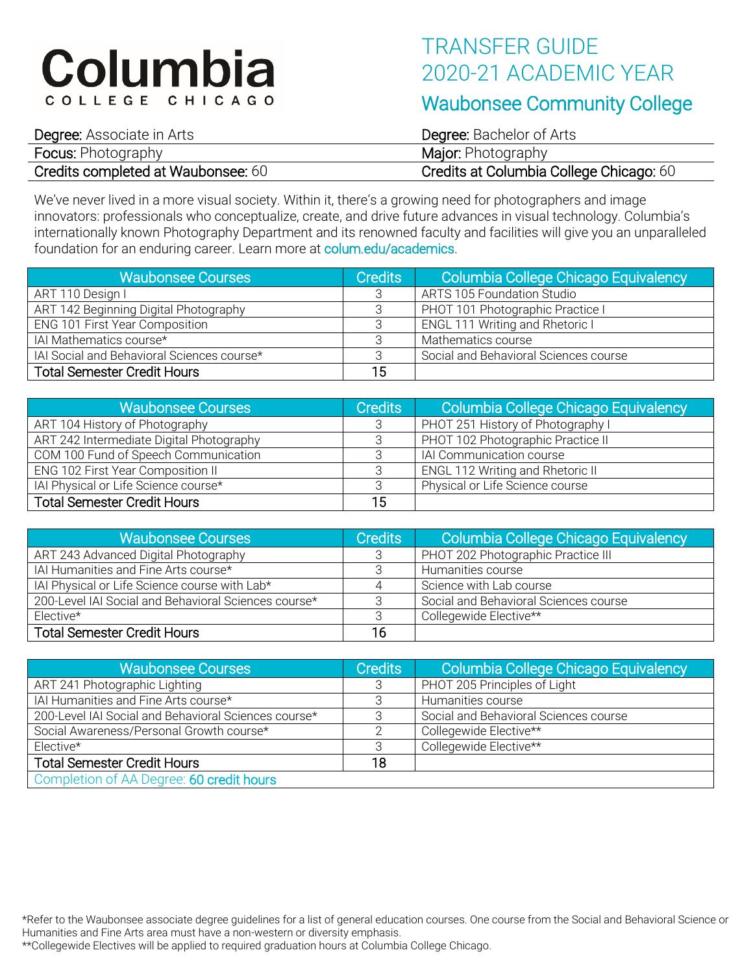# Columbia COLLEGE CHICAGO

## TRANSFER GUIDE 2020-21 ACADEMIC YEAR

### Waubonsee Community College

| <b>Degree:</b> Associate in Arts   | <b>Degree:</b> Bachelor of Arts         |
|------------------------------------|-----------------------------------------|
| <b>Focus: Photography</b>          | <b>Major:</b> Photography               |
| Credits completed at Waubonsee: 60 | Credits at Columbia College Chicago: 60 |

We've never lived in a more visual society. Within it, there's a growing need for photographers and image innovators: professionals who conceptualize, create, and drive future advances in visual technology. Columbia's internationally known Photography Department and its renowned faculty and facilities will give you an unparalleled foundation for an enduring career. Learn more at colum.edu/academics.

| <b>Waubonsee Courses</b>                   | <b>Credits</b> | Columbia College Chicago Equivalency  |
|--------------------------------------------|----------------|---------------------------------------|
| ART 110 Design I                           | 3              | <b>ARTS 105 Foundation Studio</b>     |
| ART 142 Beginning Digital Photography      | 3              | PHOT 101 Photographic Practice I      |
| <b>ENG 101 First Year Composition</b>      |                | ENGL 111 Writing and Rhetoric I       |
| IAI Mathematics course*                    | २              | Mathematics course                    |
| IAI Social and Behavioral Sciences course* | 3              | Social and Behavioral Sciences course |
| <b>Total Semester Credit Hours</b>         | 15             |                                       |

| <b>Waubonsee Courses</b>                 | <b>Credits</b> | Columbia College Chicago Equivalency |
|------------------------------------------|----------------|--------------------------------------|
| ART 104 History of Photography           | 3              | PHOT 251 History of Photography I    |
| ART 242 Intermediate Digital Photography |                | PHOT 102 Photographic Practice II    |
| COM 100 Fund of Speech Communication     |                | IAI Communication course             |
| ENG 102 First Year Composition II        |                | ENGL 112 Writing and Rhetoric II     |
| IAI Physical or Life Science course*     |                | Physical or Life Science course      |
| <b>Total Semester Credit Hours</b>       | 15             |                                      |

| <b>Waubonsee Courses</b>                             | <b>Credits</b> | Columbia College Chicago Equivalency  |
|------------------------------------------------------|----------------|---------------------------------------|
| ART 243 Advanced Digital Photography                 |                | PHOT 202 Photographic Practice III    |
| IAI Humanities and Fine Arts course*                 |                | Humanities course                     |
| IAI Physical or Life Science course with Lab*        | 4              | Science with Lab course               |
| 200-Level IAI Social and Behavioral Sciences course* |                | Social and Behavioral Sciences course |
| $Elective*$                                          |                | Collegewide Elective**                |
| <b>Total Semester Credit Hours</b>                   | 16             |                                       |

| <b>Waubonsee Courses</b>                             | <b>Credits</b> | Columbia College Chicago Equivalency  |
|------------------------------------------------------|----------------|---------------------------------------|
| ART 241 Photographic Lighting                        | 3              | PHOT 205 Principles of Light          |
| IAI Humanities and Fine Arts course*                 |                | Humanities course                     |
| 200-Level IAI Social and Behavioral Sciences course* |                | Social and Behavioral Sciences course |
| Social Awareness/Personal Growth course*             |                | Collegewide Elective**                |
| Elective*                                            |                | Collegewide Elective**                |
| <b>Total Semester Credit Hours</b>                   | 18             |                                       |
| Completion of AA Degree: 60 credit hours             |                |                                       |

\*Refer to the Waubonsee associate degree guidelines for a list of general education courses. One course from the Social and Behavioral Science or Humanities and Fine Arts area must have a non-western or diversity emphasis.

\*\*Collegewide Electives will be applied to required graduation hours at Columbia College Chicago.